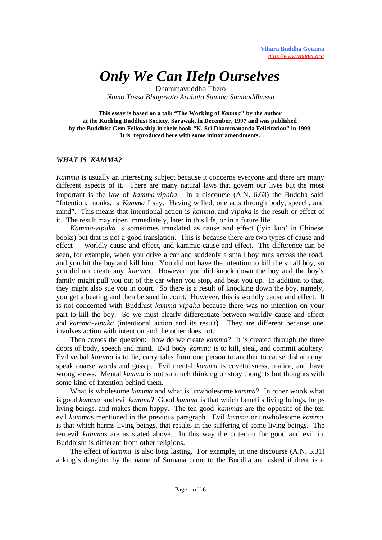# *Only We Can Help Ourselves*

Dhammavuddho Thero *Namo Tassa Bhagavato Arahato Samma Sambuddhassa*

**This essay is based on a talk "The Working of** *Kamma***" by the author at the Kuching Buddhist Society, Sarawak, in December, 1997 and was published by the Buddhist Gem Fellowship in their book "K. Sri Dhammananda Felicitation" in 1999. It is reproduced here with some minor amendments.**

#### *WHAT IS KAMMA?*

*Kamma* is usually an interesting subject because it concerns everyone and there are many different aspects of it. There are many natural laws that govern our lives but the most important is the law of *kamma-vipaka.* In a discourse (A.N. 6.63) the Buddha said "Intention, monks, is *Kamma* I say. Having willed, one acts through body, speech, and mind". This means that intentional action is *kamma*, and *vipaka* is the result or effect of it. The result may ripen immediately, later in this life, or in a future life.

*Kamma*-*vipaka* is sometimes translated as cause and effect ('yin kuo' in Chinese books) but that is not a good translation. This is because there are two types of cause and effect — worldly cause and effect, and kammic cause and effect. The difference can be seen, for example, when you drive a car and suddenly a small boy runs across the road, and you hit the boy and kill him. You did not have the intention to kill the small boy, so you did not create any *kamma*. However, you did knock down the boy and the boy's family might pull you out of the car when you stop, and beat you up. In addition to that, they might also sue you in court. So there is a result of knocking down the boy, namely, you get a beating and then be sued in court. However, this is worldly cause and effect. It is not concerned with Buddhist *kamma*-*vipaka* because there was no intention on your part to kill the boy. So we must clearly differentiate between worldly cause and effect and *kamma*-*vipaka* (intentional action and its result). They are different because one involves action with intention and the other does not.

Then comes the question: how do we create *kamma*? It is created through the three doors of body, speech and mind. Evil body *kamma* is to kill, steal, and commit adultery. Evil verbal *kamma* is to lie, carry tales from one person to another to cause disharmony, speak coarse words and gossip. Evil mental *kamma* is covetousness, malice, and have wrong views. Mental *kamma* is not so much thinking or stray thoughts but thoughts with some kind of intention behind them.

What is wholesome *kamma* and what is unwholesome *kamma*? In other words what is good *kamma* and evil *kamma*? Good *kamma* is that which benefits living beings, helps living beings, and makes them happy. The ten good *kamma*s are the opposite of the ten evil *kamma*s mentioned in the previous paragraph. Evil *kamma* or unwholesome *kamma* is that which harms living beings, that results in the suffering of some living beings. The ten evil *kamma*s are as stated above. In this way the criterion for good and evil in Buddhism is different from other religions.

The effect of *kamma* is also long lasting. For example, in one discourse (A.N. 5.31) a king's daughter by the name of Sumana came to the Buddha and asked if there is a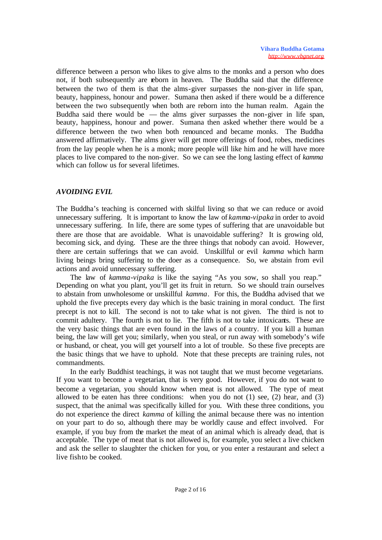difference between a person who likes to give alms to the monks and a person who does not, if both subsequently are reborn in heaven. The Buddha said that the difference between the two of them is that the alms-giver surpasses the non-giver in life span, beauty, happiness, honour and power. Sumana then asked if there would be a difference between the two subsequently when both are reborn into the human realm. Again the Buddha said there would be — the alms giver surpasses the non-giver in life span, beauty, happiness, honour and power. Sumana then asked whether there would be a difference between the two when both renounced and became monks. The Buddha answered affirmatively. The alms giver will get more offerings of food, robes, medicines from the lay people when he is a monk; more people will like him and he will have more places to live compared to the non-giver. So we can see the long lasting effect of *kamma* which can follow us for several lifetimes.

## *AVOIDING EVIL*

The Buddha's teaching is concerned with skilful living so that we can reduce or avoid unnecessary suffering. It is important to know the law of *kamma*-*vipaka* in order to avoid unnecessary suffering. In life, there are some types of suffering that are unavoidable but there are those that are avoidable. What is unavoidable suffering? It is growing old, becoming sick, and dying. These are the three things that nobody can avoid. However, there are certain sufferings that we can avoid. Unskillful or evil *kamma* which harm living beings bring suffering to the doer as a consequence. So, we abstain from evil actions and avoid unnecessary suffering.

The law of *kamma*-*vipaka* is like the saying "As you sow, so shall you reap." Depending on what you plant, you'll get its fruit in return. So we should train ourselves to abstain from unwholesome or unskillful *kamma*. For this, the Buddha advised that we uphold the five precepts every day which is the basic training in moral conduct. The first precept is not to kill. The second is not to take what is not given. The third is not to commit adultery. The fourth is not to lie. The fifth is not to take intoxicants. These are the very basic things that are even found in the laws of a country. If you kill a human being, the law will get you; similarly, when you steal, or run away with somebody's wife or husband, or cheat, you will get yourself into a lot of trouble. So these five precepts are the basic things that we have to uphold. Note that these precepts are training rules, not commandments.

In the early Buddhist teachings, it was not taught that we must become vegetarians. If you want to become a vegetarian, that is very good. However, if you do not want to become a vegetarian, you should know when meat is not allowed. The type of meat allowed to be eaten has three conditions: when you do not  $(1)$  see,  $(2)$  hear, and  $(3)$ suspect, that the animal was specifically killed for you. With these three conditions, you do not experience the direct *kamma* of killing the animal because there was no intention on your part to do so, although there may be worldly cause and effect involved. For example, if you buy from the market the meat of an animal which is already dead, that is acceptable. The type of meat that is not allowed is, for example, you select a live chicken and ask the seller to slaughter the chicken for you, or you enter a restaurant and select a live fish to be cooked.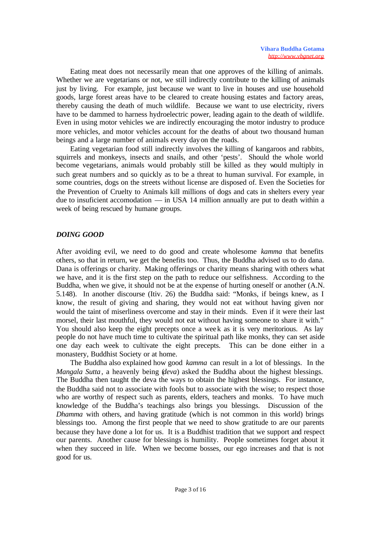Eating meat does not necessarily mean that one approves of the killing of animals. Whether we are vegetarians or not, we still indirectly contribute to the killing of animals just by living. For example, just because we want to live in houses and use household goods, large forest areas have to be cleared to create housing estates and factory areas, thereby causing the death of much wildlife. Because we want to use electricity, rivers have to be dammed to harness hydroelectric power, leading again to the death of wildlife. Even in using motor vehicles we are indirectly encouraging the motor industry to produce more vehicles, and motor vehicles account for the deaths of about two thousand human beings and a large number of animals every day on the roads.

Eating vegetarian food still indirectly involves the killing of kangaroos and rabbits, squirrels and monkeys, insects and snails, and other 'pests'. Should the whole world become vegetarians, animals would probably still be killed as they would multiply in such great numbers and so quickly as to be a threat to human survival. For example, in some countries, dogs on the streets without license are disposed of. Even the Societies for the Prevention of Cruelty to Animals kill millions of dogs and cats in shelters every year due to insuficient accomodation — in USA 14 million annually are put to death within a week of being rescued by humane groups.

# *DOING GOOD*

After avoiding evil, we need to do good and create wholesome *kamma* that benefits others, so that in return, we get the benefits too. Thus, the Buddha advised us to do dana. Dana is offerings or charity. Making offerings or charity means sharing with others what we have, and it is the first step on the path to reduce our selfishness. According to the Buddha, when we give, it should not be at the expense of hurting oneself or another (A.N. 5.148). In another discourse (Itiv. 26) the Buddha said: "Monks, if beings knew, as I know, the result of giving and sharing, they would not eat without having given nor would the taint of miserliness overcome and stay in their minds. Even if it were their last morsel, their last mouthful, they would not eat without having someone to share it with." You should also keep the eight precepts once a week as it is very meritorious. As lay people do not have much time to cultivate the spiritual path like monks, they can set aside one day each week to cultivate the eight precepts. This can be done either in a monastery, Buddhist Society or at home.

The Buddha also explained how good *kamma* can result in a lot of blessings. In the *Mangala Sutta*, a heavenly being (*deva*) asked the Buddha about the highest blessings. The Buddha then taught the deva the ways to obtain the highest blessings. For instance, the Buddha said not to associate with fools but to associate with the wise; to respect those who are worthy of respect such as parents, elders, teachers and monks. To have much knowledge of the Buddha's teachings also brings you blessings. Discussion of the *Dhamma* with others, and having gratitude (which is not common in this world) brings blessings too. Among the first people that we need to show gratitude to are our parents because they have done a lot for us. It is a Buddhist tradition that we support and respect our parents. Another cause for blessings is humility. People sometimes forget about it when they succeed in life. When we become bosses, our ego increases and that is not good for us.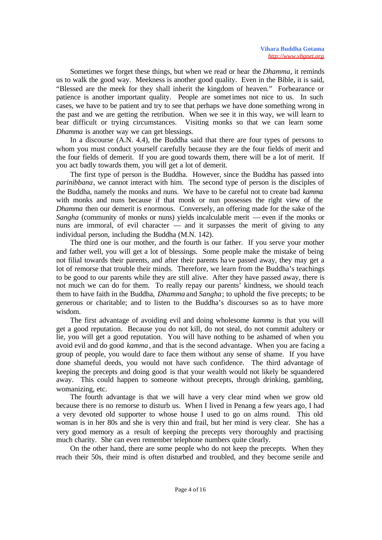Sometimes we forget these things, but when we read or hear the *Dhamma*, it reminds us to walk the good way. Meekness is another good quality. Even in the Bible, it is said, "Blessed are the meek for they shall inherit the kingdom of heaven." Forbearance or patience is another important quality. People are sometimes not nice to us. In such cases, we have to be patient and try to see that perhaps we have done something wrong in the past and we are getting the retribution. When we see it in this way, we will learn to bear difficult or trying circumstances. Visiting monks so that we can learn some *Dhamma* is another way we can get blessings.

In a discourse (A.N. 4.4), the Buddha said that there are four types of persons to whom you must conduct yourself carefully because they are the four fields of merit and the four fields of demerit. If you are good towards them, there will be a lot of merit. If you act badly towards them, you will get a lot of demerit.

The first type of person is the Buddha. However, since the Buddha has passed into *parinibbana*, we cannot interact with him. The second type of person is the disciples of the Buddha, namely the monks and nuns. We have to be careful not to create bad *kamma* with monks and nuns because if that monk or nun possesses the right view of the *Dhamma* then our demerit is enormous. Conversely, an offering made for the sake of the *Sangha* (community of monks or nuns) yields incalculable merit — even if the monks or nuns are immoral, of evil character — and it surpasses the merit of giving to any individual person, including the Buddha (M.N. 142).

The third one is our mother, and the fourth is our father. If you serve your mother and father well, you will get a lot of blessings. Some people make the mistake of being not filial towards their parents, and after their parents have passed away, they may get a lot of remorse that trouble their minds. Therefore, we learn from the Buddha's teachings to be good to our parents while they are still alive. After they have passed away, there is not much we can do for them. To really repay our parents' kindness, we should teach them to have faith in the Buddha, *Dhamma* and *Sangha*; to uphold the five precepts; to be generous or charitable; and to listen to the Buddha's discourses so as to have more wisdom.

The first advantage of avoiding evil and doing wholesome *kamma* is that you will get a good reputation. Because you do not kill, do not steal, do not commit adultery or lie, you will get a good reputation. You will have nothing to be ashamed of when you avoid evil and do good *kamma*, and that is the second advantage. When you are facing a group of people, you would dare to face them without any sense of shame. If you have done shameful deeds, you would not have such confidence. The third advantage of keeping the precepts and doing good is that your wealth would not likely be squandered away. This could happen to someone without precepts, through drinking, gambling, womanizing, etc.

The fourth advantage is that we will have a very clear mind when we grow old because there is no remorse to disturb us. When I lived in Penang a few years ago, I had a very devoted old supporter to whose house I used to go on alms round. This old woman is in her 80s and she is very thin and frail, but her mind is very clear. She has a very good memory as a result of keeping the precepts very thoroughly and practising much charity. She can even remember telephone numbers quite clearly.

On the other hand, there are some people who do not keep the precepts. When they reach their 50s, their mind is often disturbed and troubled, and they become senile and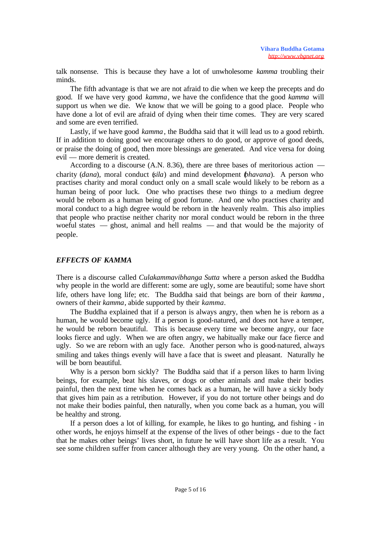talk nonsense. This is because they have a lot of unwholesome *kamma* troubling their minds.

The fifth advantage is that we are not afraid to die when we keep the precepts and do good. If we have very good *kamma*, we have the confidence that the good *kamma* will support us when we die. We know that we will be going to a good place. People who have done a lot of evil are afraid of dying when their time comes. They are very scared and some are even terrified.

Lastly, if we have good *kamma*, the Buddha said that it will lead us to a good rebirth. If in addition to doing good we encourage others to do good, or approve of good deeds, or praise the doing of good, then more blessings are generated. And vice versa for doing evil — more demerit is created.

According to a discourse (A.N. 8.36), there are three bases of meritorious action charity (*dana*), moral conduct (*sila*) and mind development (*bhavana*). A person who practises charity and moral conduct only on a small scale would likely to be reborn as a human being of poor luck. One who practises these two things to a medium degree would be reborn as a human being of good fortune. And one who practises charity and moral conduct to a high degree would be reborn in the heavenly realm. This also implies that people who practise neither charity nor moral conduct would be reborn in the three woeful states — ghost, animal and hell realms — and that would be the majority of people.

#### *EFFECTS OF KAMMA*

There is a discourse called *Culakammavibhanga Sutta* where a person asked the Buddha why people in the world are different: some are ugly, some are beautiful; some have short life, others have long life; etc. The Buddha said that beings are born of their *kamma* , owners of their *kamma*, abide supported by their *kamma*.

The Buddha explained that if a person is always angry, then when he is reborn as a human, he would become ugly. If a person is good-natured, and does not have a temper, he would be reborn beautiful. This is because every time we become angry, our face looks fierce and ugly. When we are often angry, we habitually make our face fierce and ugly. So we are reborn with an ugly face. Another person who is good-natured, always smiling and takes things evenly will have a face that is sweet and pleasant. Naturally he will be born beautiful.

Why is a person born sickly? The Buddha said that if a person likes to harm living beings, for example, beat his slaves, or dogs or other animals and make their bodies painful, then the next time when he comes back as a human, he will have a sickly body that gives him pain as a retribution. However, if you do not torture other beings and do not make their bodies painful, then naturally, when you come back as a human, you will be healthy and strong.

If a person does a lot of killing, for example, he likes to go hunting, and fishing - in other words, he enjoys himself at the expense of the lives of other beings - due to the fact that he makes other beings' lives short, in future he will have short life as a result. You see some children suffer from cancer although they are very young. On the other hand, a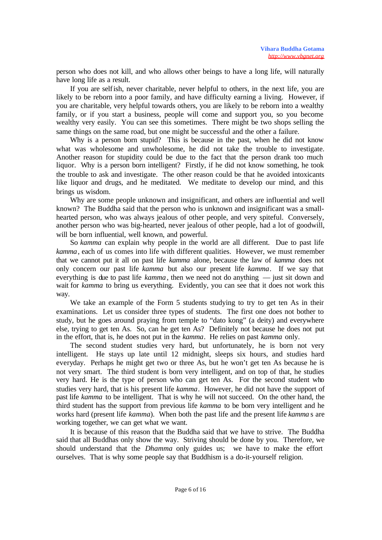person who does not kill, and who allows other beings to have a long life, will naturally have long life as a result.

If you are selfish, never charitable, never helpful to others, in the next life, you are likely to be reborn into a poor family, and have difficulty earning a living. However, if you are charitable, very helpful towards others, you are likely to be reborn into a wealthy family, or if you start a business, people will come and support you, so you become wealthy very easily. You can see this sometimes. There might be two shops selling the same things on the same road, but one might be successful and the other a failure.

Why is a person born stupid? This is because in the past, when he did not know what was wholesome and unwholesome, he did not take the trouble to investigate. Another reason for stupidity could be due to the fact that the person drank too much liquor. Why is a person born intelligent? Firstly, if he did not know something, he took the trouble to ask and investigate. The other reason could be that he avoided intoxicants like liquor and drugs, and he meditated. We meditate to develop our mind, and this brings us wisdom.

Why are some people unknown and insignificant, and others are influential and well known? The Buddha said that the person who is unknown and insignificant was a smallhearted person, who was always jealous of other people, and very spiteful. Conversely, another person who was big-hearted, never jealous of other people, had a lot of goodwill, will be born influential, well known, and powerful.

So *kamma* can explain why people in the world are all different. Due to past life *kamma*, each of us comes into life with different qualities. However, we must remember that we cannot put it all on past life *kamma* alone, because the law of *kamma* does not only concern our past life *kamma* but also our present life *kamma*. If we say that everything is due to past life *kamma*, then we need not do anything — just sit down and wait for *kamma* to bring us everything. Evidently, you can see that it does not work this way.

We take an example of the Form 5 students studying to try to get ten As in their examinations. Let us consider three types of students. The first one does not bother to study, but he goes around praying from temple to "dato kong" (a deity) and everywhere else, trying to get ten As. So, can he get ten As? Definitely not because he does not put in the effort, that is, he does not put in the *kamma*. He relies on past *kamma* only.

The second student studies very hard, but unfortunately, he is born not very intelligent. He stays up late until 12 midnight, sleeps six hours, and studies hard everyday. Perhaps he might get two or three As, but he won't get ten As because he is not very smart. The third student is born very intelligent, and on top of that, he studies very hard. He is the type of person who can get ten As. For the second student who studies very hard, that is his present life *kamma*. However, he did not have the support of past life *kamma* to be intelligent. That is why he will not succeed. On the other hand, the third student has the support from previous life *kamma* to be born very intelligent and he works hard (present life *kamma*). When both the past life and the present life *kamma* s are working together, we can get what we want.

It is because of this reason that the Buddha said that we have to strive. The Buddha said that all Buddhas only show the way. Striving should be done by you. Therefore, we should understand that the *Dhamma* only guides us; we have to make the effort ourselves. That is why some people say that Buddhism is a do-it-yourself religion.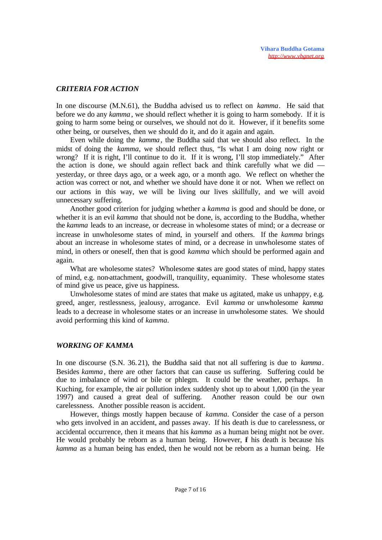## *CRITERIA FOR ACTION*

In one discourse (M.N.61), the Buddha advised us to reflect on *kamma*. He said that before we do any *kamma*, we should reflect whether it is going to harm somebody. If it is going to harm some being or ourselves, we should not do it. However, if it benefits some other being, or ourselves, then we should do it, and do it again and again.

Even while doing the *kamma*, the Buddha said that we should also reflect. In the midst of doing the *kamma*, we should reflect thus, "Is what I am doing now right or wrong? If it is right, I'll continue to do it. If it is wrong, I'll stop immediately." After the action is done, we should again reflect back and think carefully what we did yesterday, or three days ago, or a week ago, or a month ago. We reflect on whether the action was correct or not, and whether we should have done it or not. When we reflect on our actions in this way, we will be living our lives skillfully, and we will avoid unnecessary suffering.

Another good criterion for judging whether a *kamma* is good and should be done, or whether it is an evil *kamma* that should not be done, is, according to the Buddha, whether the *kamma* leads to an increase, or decrease in wholesome states of mind; or a decrease or increase in unwholesome states of mind, in yourself and others. If the *kamma* brings about an increase in wholesome states of mind, or a decrease in unwholesome states of mind, in others or oneself, then that is good *kamma* which should be performed again and again.

What are wholesome states? Wholesome states are good states of mind, happy states of mind, e.g. non-attachment, goodwill, tranquility, equanimity. These wholesome states of mind give us peace, give us happiness.

Unwholesome states of mind are states that make us agitated, make us unhappy, e.g. greed, anger, restlessness, jealousy, arrogance. Evil *kamma* or unwholesome *kamma* leads to a decrease in wholesome states or an increase in unwholesome states. We should avoid performing this kind of *kamma*.

#### *WORKING OF KAMMA*

In one discourse (S.N. 36.21), the Buddha said that not all suffering is due to *kamma*. Besides *kamma*, there are other factors that can cause us suffering. Suffering could be due to imbalance of wind or bile or phlegm. It could be the weather, perhaps. In Kuching, for example, the air pollution index suddenly shot up to about 1,000 (in the year 1997) and caused a great deal of suffering. Another reason could be our own carelessness. Another possible reason is accident.

However, things mostly happen because of *kamma*. Consider the case of a person who gets involved in an accident, and passes away. If his death is due to carelessness, or accidental occurrence, then it means that his *kamma* as a human being might not be over. He would probably be reborn as a human being. However, if his death is because his *kamma* as a human being has ended, then he would not be reborn as a human being. He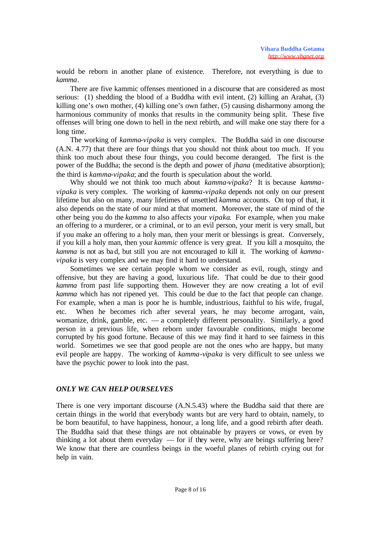would be reborn in another plane of existence. Therefore, not everything is due to *kamma*.

There are five kammic offenses mentioned in a discourse that are considered as most serious: (1) shedding the blood of a Buddha with evil intent, (2) killing an Arahat, (3) killing one's own mother, (4) killing one's own father, (5) causing disharmony among the harmonious community of monks that results in the community being split. These five offenses will bring one down to hell in the next rebirth, and will make one stay there for a long time.

The working of *kamma*-*vipaka* is very complex. The Buddha said in one discourse (A.N. 4.77) that there are four things that you should not think about too much. If you think too much about these four things, you could become deranged. The first is the power of the Buddha; the second is the depth and power of *jhana* (meditative absorption); the third is *kamma*-*vipaka*; and the fourth is speculation about the world.

Why should we not think too much about *kamma*-*vipaka*? It is because *kammavipaka* is very complex. The working of *kamma*-*vipaka* depends not only on our present lifetime but also on many, many lifetimes of unsettled *kamma* accounts. On top of that, it also depends on the state of our mind at that moment. Moreover, the state of mind of the other being you do the *kamma* to also affects your *vipaka*. For example, when you make an offering to a murderer, or a criminal, or to an evil person, your merit is very small, but if you make an offering to a holy man, then your merit or blessings is great. Conversely, if you kill a holy man, then your *kammic* offence is very great. If you kill a mosquito, the *kamma* is not as ba d, but still you are not encouraged to kill it. The working of *kammavipaka* is very complex and we may find it hard to understand.

Sometimes we see certain people whom we consider as evil, rough, stingy and offensive, but they are having a good, luxurious life. That could be due to their good *kamma* from past life supporting them. However they are now creating a lot of evil *kamma* which has not ripened yet. This could be due to the fact that people can change. For example, when a man is poor he is humble, industrious, faithful to his wife, frugal, etc. When he becomes rich after several years, he may become arrogant, vain, womanize, drink, gamble, etc. — a completely different personality. Similarly, a good person in a previous life, when reborn under favourable conditions, might become corrupted by his good fortune. Because of this we may find it hard to see fairness in this world. Sometimes we see that good people are not the ones who are happy, but many evil people are happy. The working of *kamma*-*vipaka* is very difficult to see unless we have the psychic power to look into the past.

#### *ONLY WE CAN HELP OURSELVES*

There is one very important discourse (A.N.5.43) where the Buddha said that there are certain things in the world that everybody wants but are very hard to obtain, namely, to be born beautiful, to have happiness, honour, a long life, and a good rebirth after death. The Buddha said that these things are not obtainable by prayers or vows, or even by thinking a lot about them everyday — for if they were, why are beings suffering here? We know that there are countless beings in the woeful planes of rebirth crying out for help in vain.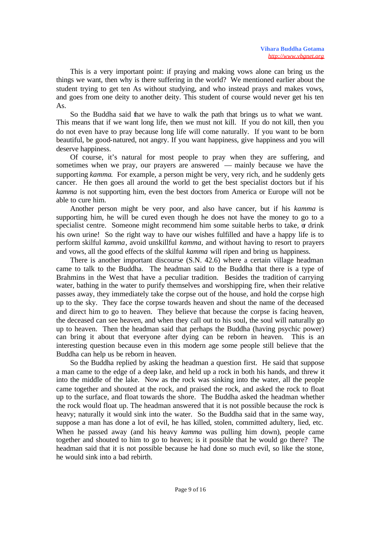This is a very important point: if praying and making vows alone can bring us the things we want, then why is there suffering in the world? We mentioned earlier about the student trying to get ten As without studying, and who instead prays and makes vows, and goes from one deity to another deity. This student of course would never get his ten As.

So the Buddha said that we have to walk the path that brings us to what we want. This means that if we want long life, then we must not kill. If you do not kill, then you do not even have to pray because long life will come naturally. If you want to be born beautiful, be good-natured, not angry. If you want happiness, give happiness and you will deserve happiness.

Of course, it's natural for most people to pray when they are suffering, and sometimes when we pray, our prayers are answered — mainly because we have the supporting *kamma*. For example, a person might be very, very rich, and he suddenly gets cancer. He then goes all around the world to get the best specialist doctors but if his *kamma* is not supporting him, even the best doctors from America or Europe will not be able to cure him.

Another person might be very poor, and also have cancer, but if his *kamma* is supporting him, he will be cured even though he does not have the money to go to a specialist centre. Someone might recommend him some suitable herbs to take,  $\sigma$  drink his own urine! So the right way to have our wishes fulfilled and have a happy life is to perform skilful *kamma*, avoid unskillful *kamma*, and without having to resort to prayers and vows, all the good effects of the skilful *kamma* will ripen and bring us happiness.

There is another important discourse (S.N. 42.6) where a certain village headman came to talk to the Buddha. The headman said to the Buddha that there is a type of Brahmins in the West that have a peculiar tradition. Besides the tradition of carrying water, bathing in the water to purify themselves and worshipping fire, when their relative passes away, they immediately take the corpse out of the house, and hold the corpse high up to the sky. They face the corpse towards heaven and shout the name of the deceased and direct him to go to heaven. They believe that because the corpse is facing heaven, the deceased can see heaven, and when they call out to his soul, the soul will naturally go up to heaven. Then the headman said that perhaps the Buddha (having psychic power) can bring it about that everyone after dying can be reborn in heaven. This is an interesting question because even in this modern age some people still believe that the Buddha can help us be reborn in heaven.

So the Buddha replied by asking the headman a question first. He said that suppose a man came to the edge of a deep lake, and held up a rock in both his hands, and threw it into the middle of the lake. Now as the rock was sinking into the water, all the people came together and shouted at the rock, and praised the rock, and asked the rock to float up to the surface, and float towards the shore. The Buddha asked the headman whether the rock would float up. The headman answered that it is not possible because the rock is heavy; naturally it would sink into the water. So the Buddha said that in the same way, suppose a man has done a lot of evil, he has killed, stolen, committed adultery, lied, etc. When he passed away (and his heavy *kamma* was pulling him down), people came together and shouted to him to go to heaven; is it possible that he would go there? The headman said that it is not possible because he had done so much evil, so like the stone, he would sink into a bad rebirth.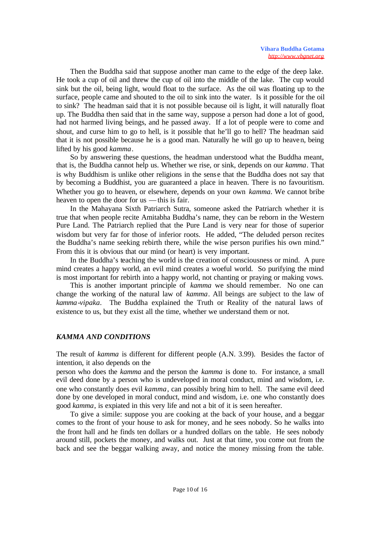Then the Buddha said that suppose another man came to the edge of the deep lake. He took a cup of oil and threw the cup of oil into the middle of the lake. The cup would sink but the oil, being light, would float to the surface. As the oil was floating up to the surface, people came and shouted to the oil to sink into the water. Is it possible for the oil to sink? The headman said that it is not possible because oil is light, it will naturally float up. The Buddha then said that in the same way, suppose a person had done a lot of good, had not harmed living beings, and he passed away. If a lot of people were to come and shout, and curse him to go to hell, is it possible that he'll go to hell? The headman said that it is not possible because he is a good man. Naturally he will go up to heaven, being lifted by his good *kamma*.

So by answering these questions, the headman understood what the Buddha meant, that is, the Buddha cannot help us. Whether we rise, or sink, depends on our *kamma*. That is why Buddhism is unlike other religions in the sens e that the Buddha does not say that by becoming a Buddhist, you are guaranteed a place in heaven. There is no favouritism. Whether you go to heaven, or elsewhere, depends on your own *kamma*. We cannot bribe heaven to open the door for us — this is fair.

In the Mahayana Sixth Patriarch Sutra, someone asked the Patriarch whether it is true that when people recite Amitabha Buddha's name, they can be reborn in the Western Pure Land. The Patriarch replied that the Pure Land is very near for those of superior wisdom but very far for those of inferior roots. He added, "The deluded person recites the Buddha's name seeking rebirth there, while the wise person purifies his own mind." From this it is obvious that our mind (or heart) is very important.

In the Buddha's teaching the world is the creation of consciousness or mind. A pure mind creates a happy world, an evil mind creates a woeful world. So purifying the mind is most important for rebirth into a happy world, not chanting or praying or making vows.

This is another important principle of *kamma* we should remember. No one can change the working of the natural law of *kamma*. All beings are subject to the law of *kamma*-*vipaka*. The Buddha explained the Truth or Reality of the natural laws of existence to us, but they exist all the time, whether we understand them or not.

#### *KAMMA AND CONDITIONS*

The result of *kamma* is different for different people (A.N. 3.99). Besides the factor of intention, it also depends on the

person who does the *kamma* and the person the *kamma* is done to. For instance, a small evil deed done by a person who is undeveloped in moral conduct, mind and wisdom, i.e. one who constantly does evil *kamma*, can possibly bring him to hell. The same evil deed done by one developed in moral conduct, mind and wisdom, i.e. one who constantly does good *kamma*, is expiated in this very life and not a bit of it is seen hereafter.

To give a simile: suppose you are cooking at the back of your house, and a beggar comes to the front of your house to ask for money, and he sees nobody. So he walks into the front hall and he finds ten dollars or a hundred dollars on the table. He sees nobody around still, pockets the money, and walks out. Just at that time, you come out from the back and see the beggar walking away, and notice the money missing from the table.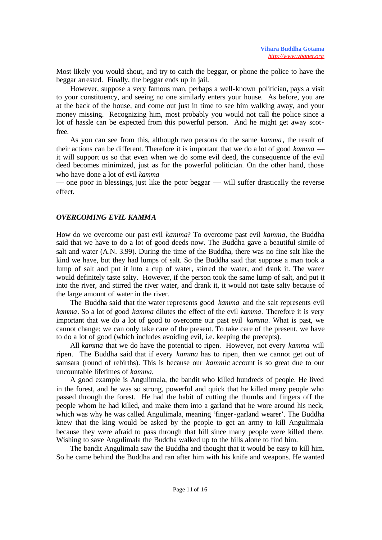Most likely you would shout, and try to catch the beggar, or phone the police to have the beggar arrested. Finally, the beggar ends up in jail.

However, suppose a very famous man, perhaps a well-known politician, pays a visit to your constituency, and seeing no one similarly enters your house. As before, you are at the back of the house, and come out just in time to see him walking away, and your money missing. Recognizing him, most probably you would not call the police since a lot of hassle can be expected from this powerful person. And he might get away scotfree.

As you can see from this, although two persons do the same *kamma*, the result of their actions can be different. Therefore it is important that we do a lot of good *kamma* it will support us so that even when we do some evil deed, the consequence of the evil deed becomes minimized, just as for the powerful politician. On the other hand, those who have done a lot of evil *kamma*

— one poor in blessings, just like the poor beggar — will suffer drastically the reverse effect.

#### *OVERCOMING EVIL KAMMA*

How do we overcome our past evil *kamma*? To overcome past evil *kamma*, the Buddha said that we have to do a lot of good deeds now. The Buddha gave a beautiful simile of salt and water (A.N. 3.99). During the time of the Buddha, there was no fine salt like the kind we have, but they had lumps of salt. So the Buddha said that suppose a man took a lump of salt and put it into a cup of water, stirred the water, and drank it. The water would definitely taste salty. However, if the person took the same lump of salt, and put it into the river, and stirred the river water, and drank it, it would not taste salty because of the large amount of water in the river.

The Buddha said that the water represents good *kamma* and the salt represents evil *kamma*. So a lot of good *kamma* dilutes the effect of the evil *kamma*. Therefore it is very important that we do a lot of good to overcome our past evil *kamma*. What is past, we cannot change; we can only take care of the present. To take care of the present, we have to do a lot of good (which includes avoiding evil, i.e. keeping the precepts).

All *kamma* that we do have the potential to ripen. However, not every *kamma* will ripen. The Buddha said that if every *kamma* has to ripen, then we cannot get out of samsara (round of rebirths). This is because our *kammic* account is so great due to our uncountable lifetimes of *kamma*.

A good example is Angulimala, the bandit who killed hundreds of people. He lived in the forest, and he was so strong, powerful and quick that he killed many people who passed through the forest. He had the habit of cutting the thumbs and fingers off the people whom he had killed, and make them into a garland that he wore around his neck, which was why he was called Angulimala, meaning 'finger-garland wearer'. The Buddha knew that the king would be asked by the people to get an army to kill Angulimala because they were afraid to pass through that hill since many people were killed there. Wishing to save Angulimala the Buddha walked up to the hills alone to find him.

The bandit Angulimala saw the Buddha and thought that it would be easy to kill him. So he came behind the Buddha and ran after him with his knife and weapons. He wanted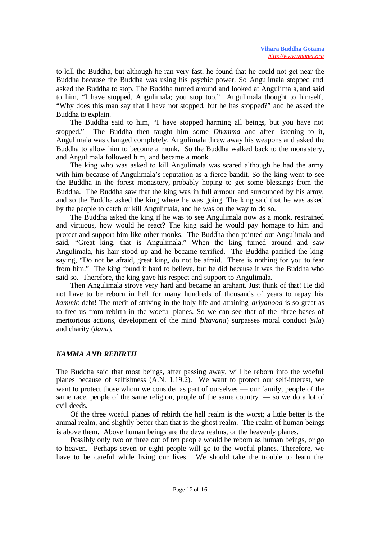to kill the Buddha, but although he ran very fast, he found that he could not get near the Buddha because the Buddha was using his psychic power. So Angulimala stopped and asked the Buddha to stop. The Buddha turned around and looked at Angulimala, and said to him, "I have stopped, Angulimala; you stop too." Angulimala thought to himself, "Why does this man say that I have not stopped, but he has stopped?" and he asked the Buddha to explain.

The Buddha said to him, "I have stopped harming all beings, but you have not stopped." The Buddha then taught him some *Dhamma* and after listening to it, Angulimala was changed completely. Angulimala threw away his weapons and asked the Buddha to allow him to become a monk. So the Buddha walked back to the mona stery, and Angulimala followed him, and became a monk.

The king who was asked to kill Angulimala was scared although he had the army with him because of Angulimala's reputation as a fierce bandit. So the king went to see the Buddha in the forest monastery, probably hoping to get some blessings from the Buddha. The Buddha saw that the king was in full armour and surrounded by his army, and so the Buddha asked the king where he was going. The king said that he was asked by the people to catch or kill Angulimala, and he was on the way to do so.

The Buddha asked the king if he was to see Angulimala now as a monk, restrained and virtuous, how would he react? The king said he would pay homage to him and protect and support him like other monks. The Buddha then pointed out Angulimala and said, "Great king, that is Angulimala." When the king turned around and saw Angulimala, his hair stood up and he became terrified. The Buddha pacified the king saying, "Do not be afraid, great king, do not be afraid. There is nothing for you to fear from him." The king found it hard to believe, but he did because it was the Buddha who said so. Therefore, the king gave his respect and support to Angulimala.

Then Angulimala strove very hard and became an arahant. Just think of that! He did not have to be reborn in hell for many hundreds of thousands of years to repay his *kammic* debt! The merit of striving in the holy life and attaining *ariyahood* is so great as to free us from rebirth in the woeful planes. So we can see that of the three bases of meritorious actions, development of the mind (*bhavana*) surpasses moral conduct (*sila*) and charity (*dana*).

#### *KAMMA AND REBIRTH*

The Buddha said that most beings, after passing away, will be reborn into the woeful planes because of selfishness (A.N. 1.19.2). We want to protect our self-interest, we want to protect those whom we consider as part of ourselves — our family, people of the same race, people of the same religion, people of the same country  $\overline{\phantom{a}}$  so we do a lot of evil deeds.

Of the three woeful planes of rebirth the hell realm is the worst; a little better is the animal realm, and slightly better than that is the ghost realm. The realm of human beings is above them. Above human beings are the deva realms, or the heavenly planes.

Possibly only two or three out of ten people would be reborn as human beings, or go to heaven. Perhaps seven or eight people will go to the woeful planes. Therefore, we have to be careful while living our lives. We should take the trouble to learn the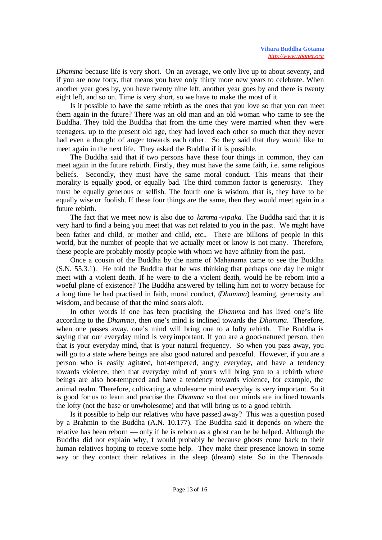*Dhamma* because life is very short. On an average, we only live up to about seventy, and if you are now forty, that means you have only thirty more new years to celebrate. When another year goes by, you have twenty nine left, another year goes by and there is twenty eight left, and so on. Time is very short, so we have to make the most of it.

Is it possible to have the same rebirth as the ones that you love so that you can meet them again in the future? There was an old man and an old woman who came to see the Buddha. They told the Buddha that from the time they were married when they were teenagers, up to the present old age, they had loved each other so much that they never had even a thought of anger towards each other. So they said that they would like to meet again in the next life. They asked the Buddha if it is possible.

The Buddha said that if two persons have these four things in common, they can meet again in the future rebirth. Firstly, they must have the same faith, i.e. same religious beliefs. Secondly, they must have the same moral conduct. This means that their morality is equally good, or equally bad. The third common factor is generosity. They must be equally generous or selfish. The fourth one is wisdom, that is, they have to be equally wise or foolish. If these four things are the same, then they would meet again in a future rebirth.

The fact that we meet now is also due to *kamma* -*vipaka*. The Buddha said that it is very hard to find a being you meet that was not related to you in the past. We might have been father and child, or mother and child, etc.. There are billions of people in this world, but the number of people that we actually meet or know is not many. Therefore, these people are probably mostly people with whom we have affinity from the past.

Once a cousin of the Buddha by the name of Mahanama came to see the Buddha (S.N. 55.3.1). He told the Buddha that he was thinking that perhaps one day he might meet with a violent death. If he were to die a violent death, would he be reborn into a woeful plane of existence? The Buddha answered by telling him not to worry because for a long time he had practised in faith, moral conduct, (*Dhamma*) learning, generosity and wisdom, and because of that the mind soars aloft.

In other words if one has been practising the *Dhamma* and has lived one's life according to the *Dhamma*, then one's mind is inclined towards the *Dhamma*. Therefore, when one passes away, one's mind will bring one to a lofty rebirth. The Buddha is saying that our everyday mind is very important. If you are a good-natured person, then that is your everyday mind, that is your natural frequency. So when you pass away, you will go to a state where beings are also good natured and peaceful. However, if you are a person who is easily agitated, hot-tempered, angry everyday, and have a tendency towards violence, then that everyday mind of yours will bring you to a rebirth where beings are also hot-tempered and have a tendency towards violence, for example, the animal realm. Therefore, cultiva ting a wholesome mind everyday is very important. So it is good for us to learn and practise the *Dhamma* so that our minds are inclined towards the lofty (not the base or unwholesome) and that will bring us to a good rebirth.

Is it possible to help our relatives who have passed away? This was a question posed by a Brahmin to the Buddha (A.N. 10.177). The Buddha said it depends on where the relative has been reborn — only if he is reborn as a ghost can he be helped. Although the Buddha did not explain why, it would probably be because ghosts come back to their human relatives hoping to receive some help. They make their presence known in some way or they contact their relatives in the sleep (dream) state. So in the Theravada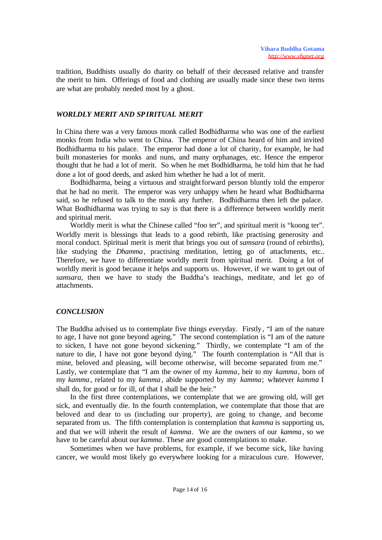tradition, Buddhists usually do charity on behalf of their deceased relative and transfer the merit to him. Offerings of food and clothing are usually made since these two items are what are probably needed most by a ghost.

## *WORLDLY MERIT AND SPIRITUAL MERIT*

In China there was a very famous monk called Bodhidharma who was one of the earliest monks from India who went to China. The emperor of China heard of him and invited Bodhidharma to his palace. The emperor had done a lot of charity, for example, he had built monasteries for monks and nuns, and many orphanages, etc. Hence the emperor thought that he had a lot of merit. So when he met Bodhidharma, he told him that he had done a lot of good deeds, and asked him whether he had a lot of merit.

Bodhidharma, being a virtuous and straightforward person bluntly told the emperor that he had no merit. The emperor was very unhappy when he heard what Bodhidharma said, so he refused to talk to the monk any further. Bodhidharma then left the palace. What Bodhidharma was trying to say is that there is a difference between worldly merit and spiritual merit.

Worldly merit is what the Chinese called "foo ter", and spiritual merit is "koong ter". Worldly merit is blessings that leads to a good rebirth, like practising generosity and moral conduct. Spiritual merit is merit that brings you out of *samsara* (round of rebirths), like studying the *Dhamma*, practising meditation, letting go of attachments, etc.. Therefore, we have to differentiate worldly merit from spiritual merit. Doing a lot of worldly merit is good because it helps and supports us. However, if we want to get out of *samsara*, then we have to study the Buddha's teachings, meditate, and let go of attachments.

# *CONCLUSION*

The Buddha advised us to contemplate five things everyday. Firstly, "I am of the nature to age, I have not gone beyond ageing." The second contemplation is "I am of the nature to sicken, I have not gone beyond sickening." Thirdly, we contemplate "I am of the nature to die, I have not gone beyond dying." The fourth contemplation is "All that is mine, beloved and pleasing, will become otherwise, will become separated from me." Lastly, we contemplate that "I am the owner of my *kamma*, heir to my *kamma*, born of my *kamma*, related to my *kamma* , abide supported by my *kamma*; whatever *kamma* I shall do, for good or for ill, of that I shall be the heir."

In the first three contemplations, we contemplate that we are growing old, will get sick, and eventually die. In the fourth contemplation, we contemplate that those that are beloved and dear to us (including our property), are going to change, and become separated from us. The fifth contemplation is contemplation that *kamma* is supporting us, and that we will inherit the result of *kamma*. We are the owners of our *kamma*, so we have to be careful about our *kamma*. These are good contemplations to make.

Sometimes when we have problems, for example, if we become sick, like having cancer, we would most likely go everywhere looking for a miraculous cure. However,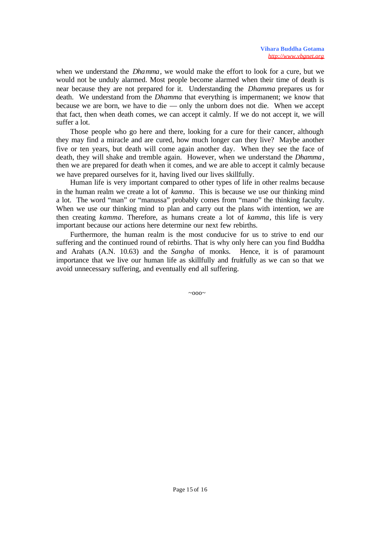when we understand the *Dhamma*, we would make the effort to look for a cure, but we would not be unduly alarmed. Most people become alarmed when their time of death is near because they are not prepared for it. Understanding the *Dhamma* prepares us for death. We understand from the *Dhamma* that everything is impermanent; we know that because we are born, we have to die — only the unborn does not die. When we accept that fact, then when death comes, we can accept it calmly. If we do not accept it, we will suffer a lot.

Those people who go here and there, looking for a cure for their cancer, although they may find a miracle and are cured, how much longer can they live? Maybe another five or ten years, but death will come again another day. When they see the face of death, they will shake and tremble again. However, when we understand the *Dhamma*, then we are prepared for death when it comes, and we are able to accept it calmly because we have prepared ourselves for it, having lived our lives skillfully.

Human life is very important compared to other types of life in other realms because in the human realm we create a lot of *kamma*. This is because we use our thinking mind a lot. The word "man" or "manussa" probably comes from "mano" the thinking faculty. When we use our thinking mind to plan and carry out the plans with intention, we are then creating *kamma*. Therefore, as humans create a lot of *kamma*, this life is very important because our actions here determine our next few rebirths.

Furthermore, the human realm is the most conducive for us to strive to end our suffering and the continued round of rebirths. That is why only here can you find Buddha and Arahats (A.N. 10.63) and the *Sangha* of monks. Hence, it is of paramount importance that we live our human life as skillfully and fruitfully as we can so that we avoid unnecessary suffering, and eventually end all suffering.

 $~000~~$